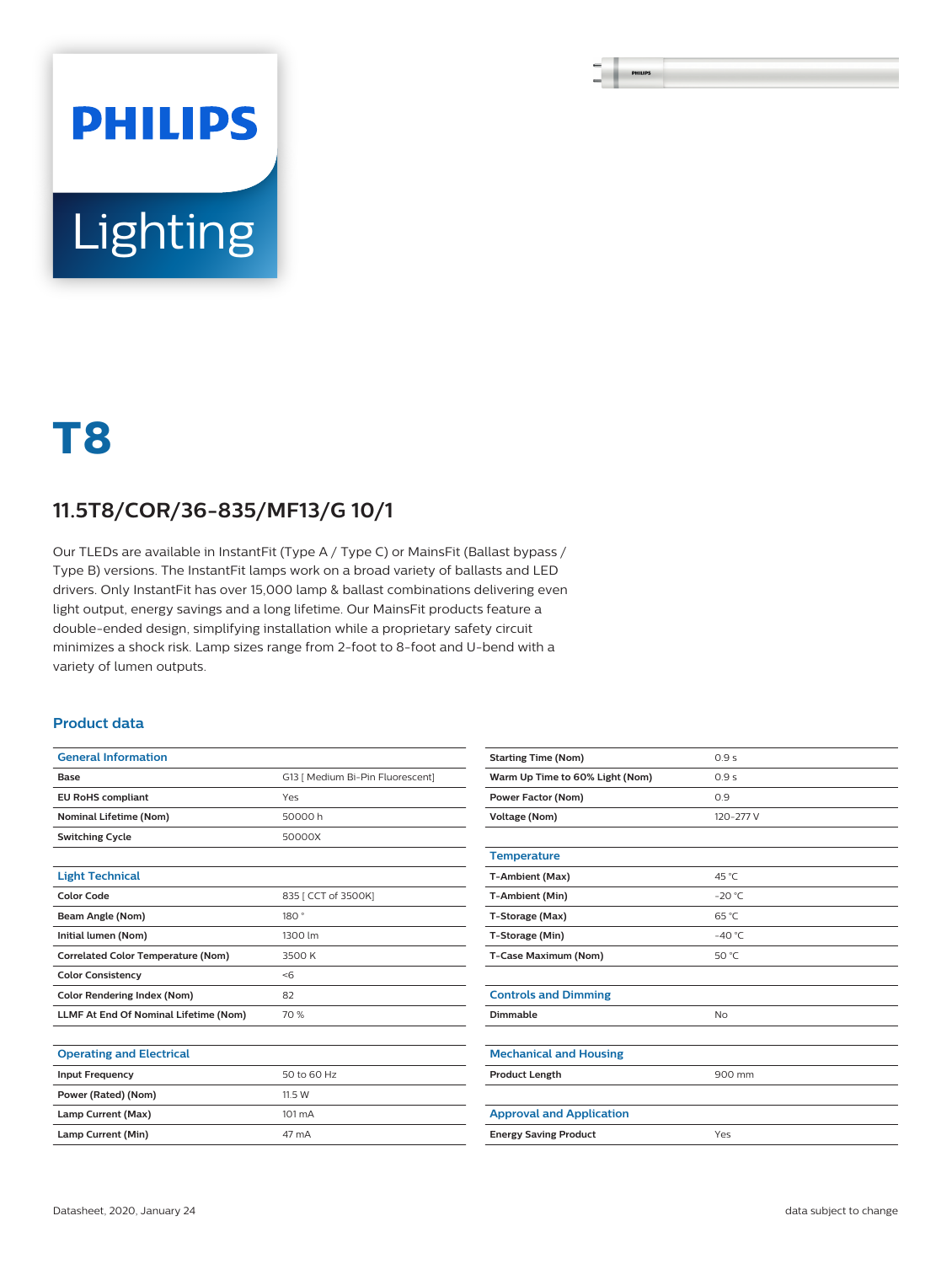# **PHILIPS** Lighting

## **T8**

#### **11.5T8/COR/36-835/MF13/G 10/1**

Our TLEDs are available in InstantFit (Type A / Type C) or MainsFit (Ballast bypass / Type B) versions. The InstantFit lamps work on a broad variety of ballasts and LED drivers. Only InstantFit has over 15,000 lamp & ballast combinations delivering even light output, energy savings and a long lifetime. Our MainsFit products feature a double-ended design, simplifying installation while a proprietary safety circuit minimizes a shock risk. Lamp sizes range from 2-foot to 8-foot and U-bend with a variety of lumen outputs.

#### **Product data**

| <b>General Information</b>                   |                                  |  |  |
|----------------------------------------------|----------------------------------|--|--|
| Base                                         | G13 [ Medium Bi-Pin Fluorescent] |  |  |
| <b>EU RoHS compliant</b>                     | Yes                              |  |  |
| <b>Nominal Lifetime (Nom)</b>                | 50000h                           |  |  |
| <b>Switching Cycle</b>                       | 50000X                           |  |  |
|                                              |                                  |  |  |
| <b>Light Technical</b>                       |                                  |  |  |
| <b>Color Code</b>                            | 835   CCT of 3500K]              |  |  |
| Beam Angle (Nom)                             | 180°                             |  |  |
| Initial lumen (Nom)                          | 1300 lm                          |  |  |
| <b>Correlated Color Temperature (Nom)</b>    | 3500 K                           |  |  |
| <b>Color Consistency</b>                     | $<$ 6                            |  |  |
| <b>Color Rendering Index (Nom)</b>           | 82                               |  |  |
| <b>LLMF At End Of Nominal Lifetime (Nom)</b> | 70 %                             |  |  |
|                                              |                                  |  |  |
| <b>Operating and Electrical</b>              |                                  |  |  |
| <b>Input Frequency</b>                       | 50 to 60 Hz                      |  |  |
| Power (Rated) (Nom)                          | 11.5 W                           |  |  |
| Lamp Current (Max)                           | 101 mA                           |  |  |

| <b>Starting Time (Nom)</b>      | 0.9s            |  |  |
|---------------------------------|-----------------|--|--|
| Warm Up Time to 60% Light (Nom) | 0.9s            |  |  |
| <b>Power Factor (Nom)</b>       | 0.9             |  |  |
| <b>Voltage (Nom)</b>            | 120-277 V       |  |  |
|                                 |                 |  |  |
| <b>Temperature</b>              |                 |  |  |
| T-Ambient (Max)                 | 45 °C           |  |  |
| T-Ambient (Min)                 | $-20 °C$        |  |  |
| T-Storage (Max)                 | $65^{\circ}$ C  |  |  |
| T-Storage (Min)                 | $-40^{\circ}$ C |  |  |
| T-Case Maximum (Nom)            | 50 °C           |  |  |
|                                 |                 |  |  |
| <b>Controls and Dimming</b>     |                 |  |  |
| Dimmable                        | <b>No</b>       |  |  |
|                                 |                 |  |  |
| <b>Mechanical and Housing</b>   |                 |  |  |
| <b>Product Length</b>           | 900 mm          |  |  |
|                                 |                 |  |  |
| <b>Approval and Application</b> |                 |  |  |
| <b>Energy Saving Product</b>    | Yes             |  |  |

Lamp Current (Min) 47 mA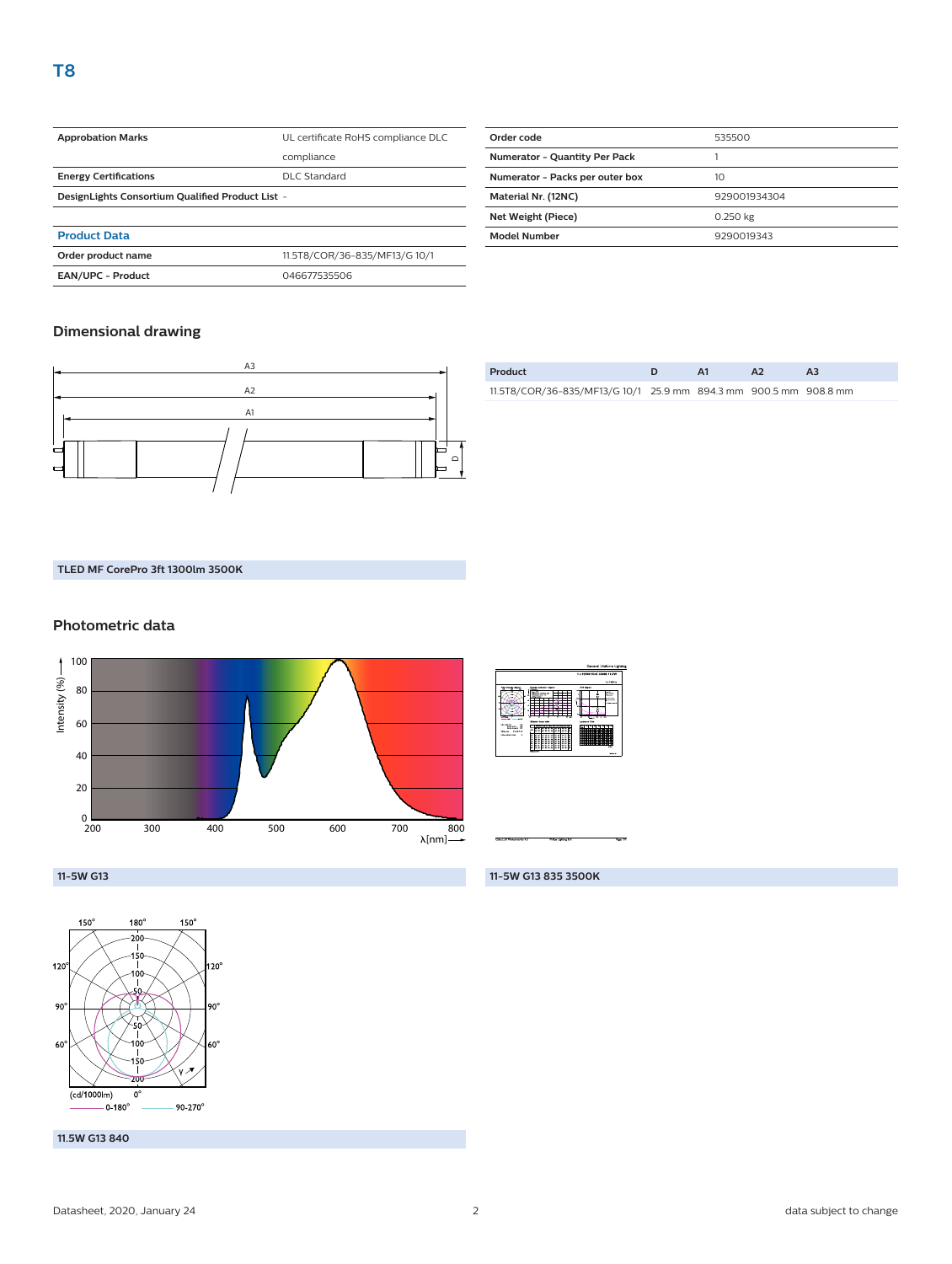| <b>Approbation Marks</b>                         | UL certificate RoHS compliance DLC |  |  |
|--------------------------------------------------|------------------------------------|--|--|
|                                                  | compliance                         |  |  |
| <b>Energy Certifications</b>                     | DLC Standard                       |  |  |
| DesignLights Consortium Qualified Product List - |                                    |  |  |
|                                                  |                                    |  |  |
| <b>Product Data</b>                              |                                    |  |  |
| Order product name                               | 11.5T8/COR/36-835/MF13/G 10/1      |  |  |

**EAN/UPC - Product** 046677535506

| Order code                      | 535500       |  |
|---------------------------------|--------------|--|
| Numerator - Quantity Per Pack   |              |  |
| Numerator - Packs per outer box | 10           |  |
| Material Nr. (12NC)             | 929001934304 |  |
| Net Weight (Piece)              | 0.250 kg     |  |
| <b>Model Number</b>             | 9290019343   |  |

#### **Dimensional drawing**



| Product                                                          | $\Delta$ 1 |  |
|------------------------------------------------------------------|------------|--|
| 11.5T8/COR/36-835/MF13/G 10/1 25.9 mm 894.3 mm 900.5 mm 908.8 mm |            |  |

#### **TLED MF CorePro 3ft 1300lm 3500K**

#### **Photometric data**





**11-5W G13 835 3500K**

**11-5W G13**



**11.5W G13 840**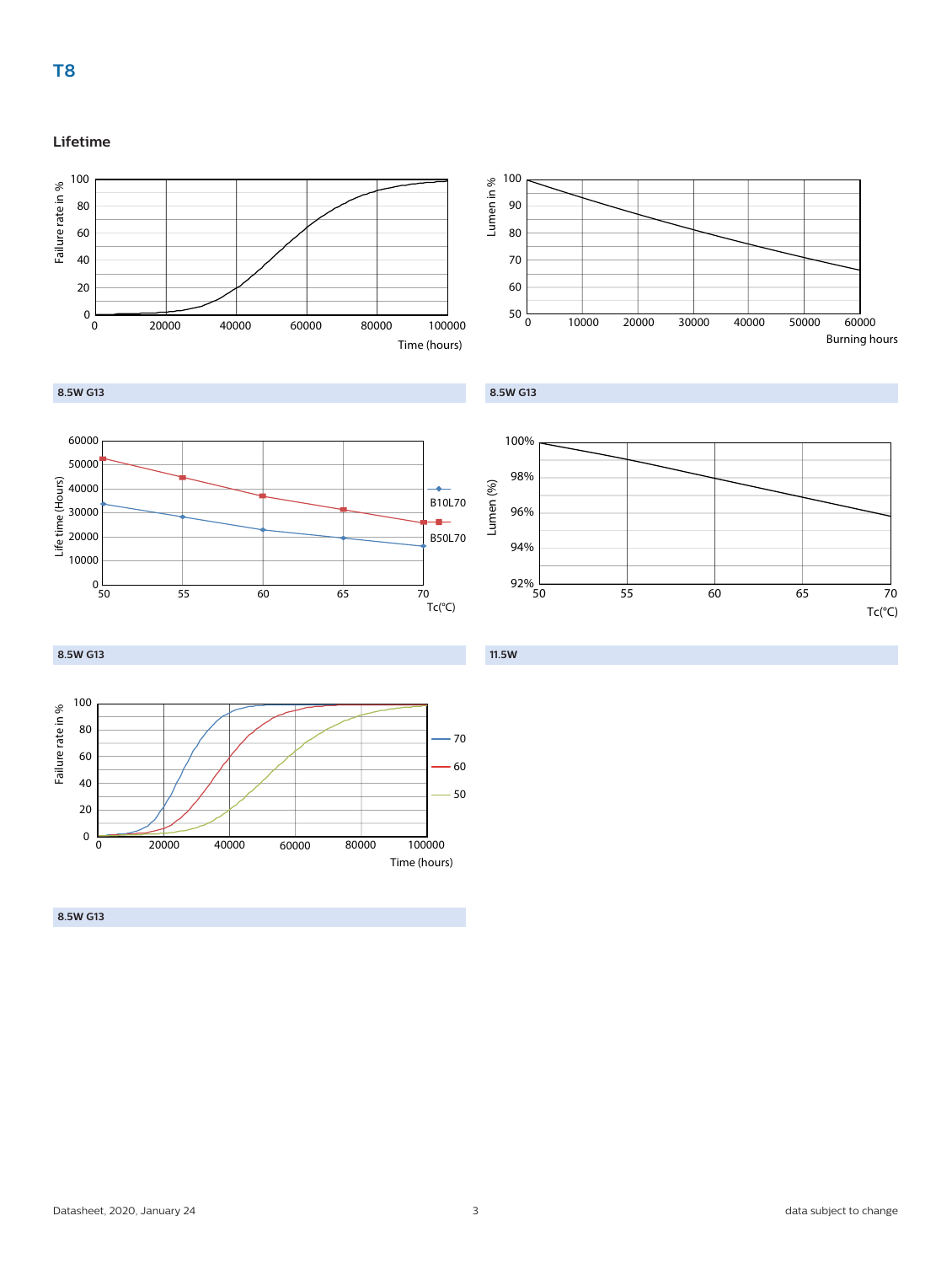### **Lifetime**





**8.5W G13**







**11.5W**

**8.5W G13**



**8.5W G13**